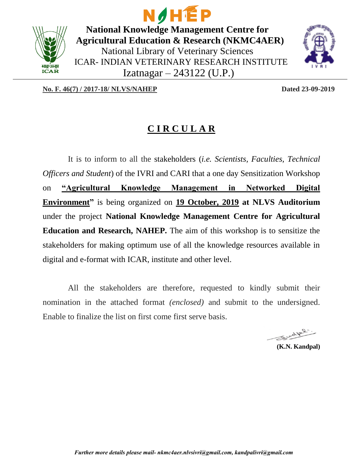

NOHÉP **National Knowledge Management Centre for Agricultural Education & Research (NKMC4AER)** National Library of Veterinary Sciences ICAR- INDIAN VETERINARY RESEARCH INSTITUTE Izatnagar – 243122 (U.P.)



**No. F. 46(7) / 2017-18/ NLVS/NAHEP Dated 23-09-2019** 

## **C I R C U L A R**

It is to inform to all the stakeholders (*i.e. Scientists, Faculties, Technical Officers and Student*) of the IVRI and CARI that a one day Sensitization Workshop on **"Agricultural Knowledge Management in Networked Digital Environment"** is being organized on **19 October, 2019 at NLVS Auditorium** under the project **National Knowledge Management Centre for Agricultural Education and Research, NAHEP.** The aim of this workshop is to sensitize the stakeholders for making optimum use of all the knowledge resources available in digital and e-format with ICAR, institute and other level.

All the stakeholders are therefore, requested to kindly submit their nomination in the attached format *(enclosed)* and submit to the undersigned. Enable to finalize the list on first come first serve basis.

Sudpl.

**(K.N. Kandpal)**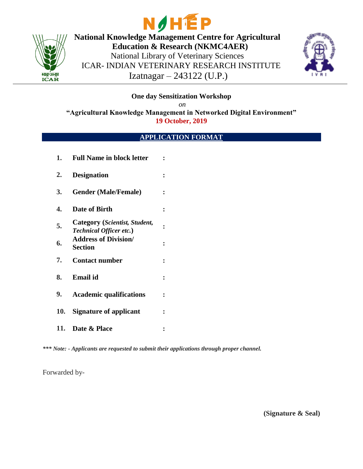



**National Knowledge Management Centre for Agricultural Education & Research (NKMC4AER)** National Library of Veterinary Sciences ICAR- INDIAN VETERINARY RESEARCH INSTITUTE Izatnagar – 243122 (U.P.)



**One day Sensitization Workshop**

*on*

**"Agricultural Knowledge Management in Networked Digital Environment" 19 October, 2019**

## **APPLICATION FORMAT**

| 1.         | <b>Full Name in block letter</b>                                | $\ddot{\cdot}$       |
|------------|-----------------------------------------------------------------|----------------------|
| 2.         | <b>Designation</b>                                              |                      |
| 3.         | <b>Gender (Male/Female)</b>                                     | $\ddot{\phantom{a}}$ |
| 4.         | Date of Birth                                                   |                      |
| 5.         | Category (Scientist, Student,<br><b>Technical Officer etc.)</b> | $\ddot{\phantom{a}}$ |
| 6.         | <b>Address of Division/</b><br><b>Section</b>                   |                      |
| 7.         | <b>Contact number</b>                                           | $\ddot{\cdot}$       |
| 8.         | <b>Email</b> id                                                 | $\ddot{\cdot}$       |
| 9.         | <b>Academic qualifications</b>                                  | $\ddot{\cdot}$       |
| <b>10.</b> | <b>Signature of applicant</b>                                   | $\ddot{\cdot}$       |
| 11.        | Date & Place                                                    |                      |

*\*\*\* Note: - Applicants are requested to submit their applications through proper channel.*

Forwarded by-

**(Signature & Seal)**